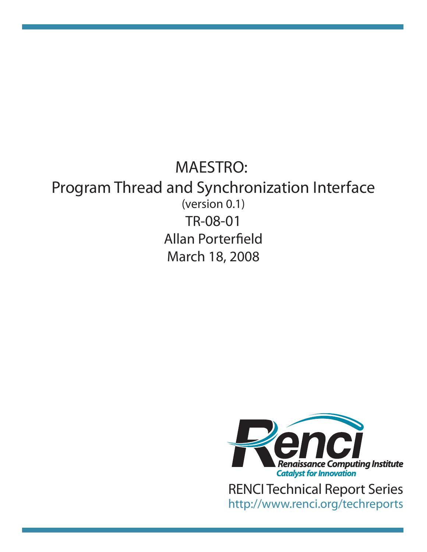# TR-08-01 Allan Porterfield March 18, 2008 MAESTRO: Program Thread and Synchronization Interface (version 0.1)



http://www.renci.org/techreports [RENCI Technical Report Series](http://www.renci.org/techreports)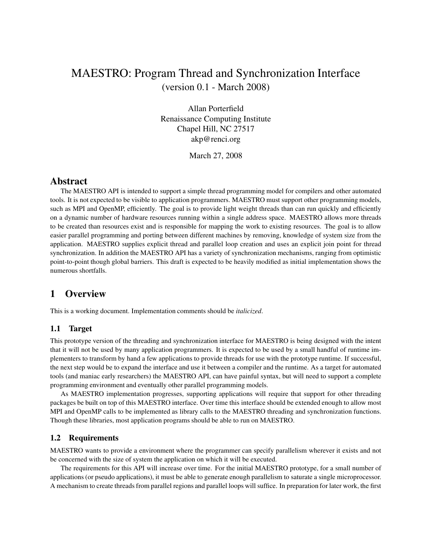# MAESTRO: Program Thread and Synchronization Interface (version 0.1 - March 2008)

Allan Porterfield Renaissance Computing Institute Chapel Hill, NC 27517 akp@renci.org

March 27, 2008

# **Abstract**

The MAESTRO API is intended to support a simple thread programming model for compilers and other automated tools. It is not expected to be visible to application programmers. MAESTRO must support other programming models, such as MPI and OpenMP, efficiently. The goal is to provide light weight threads than can run quickly and efficiently on a dynamic number of hardware resources running within a single address space. MAESTRO allows more threads to be created than resources exist and is responsible for mapping the work to existing resources. The goal is to allow easier parallel programming and porting between different machines by removing, knowledge of system size from the application. MAESTRO supplies explicit thread and parallel loop creation and uses an explicit join point for thread synchronization. In addition the MAESTRO API has a variety of synchronization mechanisms, ranging from optimistic point-to-point though global barriers. This draft is expected to be heavily modified as initial implementation shows the numerous shortfalls.

# **1 Overview**

This is a working document. Implementation comments should be *italicized*.

## **1.1 Target**

This prototype version of the threading and synchronization interface for MAESTRO is being designed with the intent that it will not be used by many application programmers. It is expected to be used by a small handful of runtime implementers to transform by hand a few applications to provide threads for use with the prototype runtime. If successful, the next step would be to expand the interface and use it between a compiler and the runtime. As a target for automated tools (and maniac early researchers) the MAESTRO API, can have painful syntax, but will need to support a complete programming environment and eventually other parallel programming models.

As MAESTRO implementation progresses, supporting applications will require that support for other threading packages be built on top of this MAESTRO interface. Over time this interface should be extended enough to allow most MPI and OpenMP calls to be implemented as library calls to the MAESTRO threading and synchronization functions. Though these libraries, most application programs should be able to run on MAESTRO.

#### **1.2 Requirements**

MAESTRO wants to provide a environment where the programmer can specify parallelism wherever it exists and not be concerned with the size of system the application on which it will be executed.

The requirements for this API will increase over time. For the initial MAESTRO prototype, for a small number of applications (or pseudo applications), it must be able to generate enough parallelism to saturate a single microprocessor. A mechanism to create threads from parallel regions and parallel loops will suffice. In preparation for later work, the first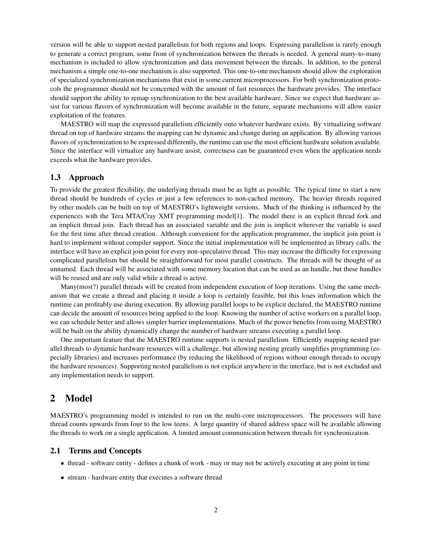version will be able to support nested parallelism for both regions and loops. Expressing parallelism is rarely enough to generate a correct program, some from of synchronization between the threads is needed. A general many-to-many mechanism is included to allow synchronization and data movement between the threads. In addition, to the general mechanism a simple one-to-one mechanism is also supported. This one-to-one mechanism should allow the exploration of specialized synchronization mechanisms that exist in some current microprocessors. For both synchronization protocols the programmer should not be concerned with the amount of fast resources the hardware provides. The interface should support the ability to remap synchronization to the best available hardware. Since we expect that hardware assist for various flavors of synchronization will become available in the future, separate mechanisms will allow easier exploitation of the features.

MAESTRO will map the expressed parallelism efficiently onto whatever hardware exists. By virtualizing software thread on top of hardware streams the mapping can be dynamic and change during an application. By allowing various flavors of synchronization to be expressed differently, the runtime can use the most efficient hardware solution available. Since the interface will virtualize any hardware assist, correctness can be guaranteed even when the application needs exceeds what the hardware provides.

#### **1.3 Approach**

To provide the greatest flexibility, the underlying threads must be as light as possible. The typical time to start a new thread should be hundreds of cycles or just a few references to non-cached memory. The heavier threads required by other models can be built on top of MAESTRO's lightweight versions. Much of the thinking is influenced by the experiences with the Tera MTA/Cray XMT programming model[1]. The model there is an explicit thread fork and an implicit thread join. Each thread has an associated variable and the join is implicit wherever the variable is used for the first time after thread creation. Although convenient for the application programmer, the implicit join point is hard to implement without compiler support. Since the initial implementation will be implemented as library calls, the interface will have an explicit join point for every non-speculative thread. This may increase the difficulty for expressing complicated parallelism but should be straightforward for most parallel constructs. The threads will be thought of as unnamed. Each thread will be associated with some memory location that can be used as an handle, but these handles will be reused and are only valid while a thread is active.

Many(most?) parallel threads will be created from independent execution of loop iterations. Using the same mechanism that we create a thread and placing it inside a loop is certainly feasible, but this loses information which the runtime can profitably use during execution. By allowing parallel loops to be explicit declared, the MAESTRO runtime can decide the amount of resources being applied to the loop. Knowing the number of active workers on a parallel loop, we can schedule better and allows simpler barrier implementations. Much of the power benefits from using MAESTRO will be built on the ability dynamically change the number of hardware streams executing a parallel loop.

One important feature that the MAESTRO runtime supports is nested parallelism. Efficiently mapping nested parallel threads to dynamic hardware resources will a challenge, but allowing nesting greatly simplifies programming (especially libraries) and increases performance (by reducing the likelihood of regions without enough threads to occupy the hardware resources). Supporting nested parallelism is not explicit anywhere in the interface, but is not excluded and any implementation needs to support.

## **2 Model**

MAESTRO's programming model is intended to run on the multi-core microprocessors. The processors will have thread counts upwards from four to the low teens. A large quantity of shared address space will be available allowing the threads to work on a single application. A limited amount communication between threads for synchronization.

#### **2.1 Terms and Concepts**

- thread software entity defines a chunk of work may or may not be actively executing at any point in time
- stream hardware entity that executes a software thread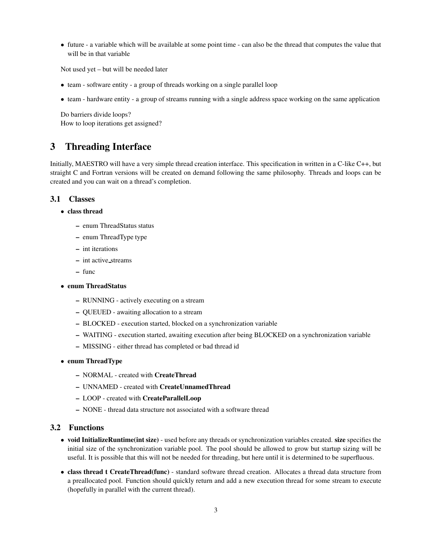• future - a variable which will be available at some point time - can also be the thread that computes the value that will be in that variable

Not used yet – but will be needed later

- team software entity a group of threads working on a single parallel loop
- team hardware entity a group of streams running with a single address space working on the same application

Do barriers divide loops? How to loop iterations get assigned?

# **3 Threading Interface**

Initially, MAESTRO will have a very simple thread creation interface. This specification in written in a C-like C++, but straight C and Fortran versions will be created on demand following the same philosophy. Threads and loops can be created and you can wait on a thread's completion.

#### **3.1 Classes**

- **class thread**
	- **–** enum ThreadStatus status
	- **–** enum ThreadType type
	- **–** int iterations
	- **–** int active streams
	- **–** func
- **enum ThreadStatus**
	- **–** RUNNING actively executing on a stream
	- **–** QUEUED awaiting allocation to a stream
	- **–** BLOCKED execution started, blocked on a synchronization variable
	- **–** WAITING execution started, awaiting execution after being BLOCKED on a synchronization variable
	- **–** MISSING either thread has completed or bad thread id
- **enum ThreadType**
	- **–** NORMAL created with **CreateThread**
	- **–** UNNAMED created with **CreateUnnamedThread**
	- **–** LOOP created with **CreateParallelLoop**
	- **–** NONE thread data structure not associated with a software thread

#### **3.2 Functions**

- **void InitializeRuntime(int size)** used before any threads or synchronization variables created. **size** specifies the initial size of the synchronization variable pool. The pool should be allowed to grow but startup sizing will be useful. It is possible that this will not be needed for threading, but here until it is determined to be superfluous.
- **class thread t CreateThread(func)** standard software thread creation. Allocates a thread data structure from a preallocated pool. Function should quickly return and add a new execution thread for some stream to execute (hopefully in parallel with the current thread).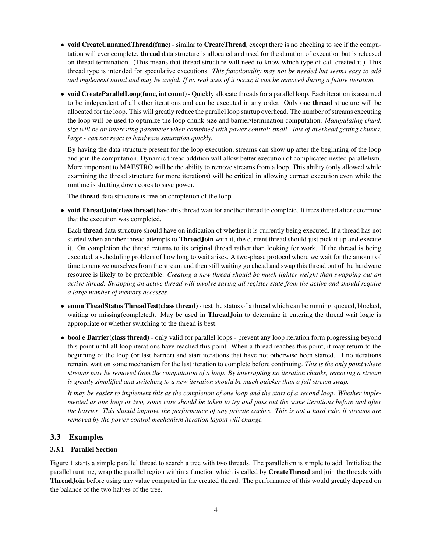- **void CreateUnnamedThread(func)** similar to **CreateThread**, except there is no checking to see if the computation will ever complete. **thread** data structure is allocated and used for the duration of execution but is released on thread termination. (This means that thread structure will need to know which type of call created it.) This thread type is intended for speculative executions. *This functionality may not be needed but seems easy to add* and implement initial and may be useful. If no real uses of it occur, it can be removed during a future iteration.
- **void CreateParallelLoop(func, int count)** Quickly allocate threadsfor a parallel loop. Each iteration is assumed to be independent of all other iterations and can be executed in any order. Only one **thread** structure will be allocated for the loop. This will greatly reduce the parallel loop startup overhead. The number of streams executing the loop will be used to optimize the loop chunk size and barrier/termination computation. *Manipulating chunk* size will be an interesting parameter when combined with power control; small - lots of overhead getting chunks, *large - can not react to hardware saturation quickly.*

By having the data structure present for the loop execution, streams can show up after the beginning of the loop and join the computation. Dynamic thread addition will allow better execution of complicated nested parallelism. More important to MAESTRO will be the ability to remove streams from a loop. This ability (only allowed while examining the thread structure for more iterations) will be critical in allowing correct execution even while the runtime is shutting down cores to save power.

The **thread** data structure is free on completion of the loop.

• **void ThreadJoin(classthread)** have this thread wait for another thread to complete. It frees thread after determine that the execution was completed.

Each **thread** data structure should have on indication of whether it is currently being executed. If a thread has not started when another thread attempts to **ThreadJoin** with it, the current thread should just pick it up and execute it. On completion the thread returns to its original thread rather than looking for work. If the thread is being executed, a scheduling problem of how long to wait arises. A two-phase protocol where we wait for the amount of time to remove ourselves from the stream and then still waiting go ahead and swap this thread out of the hardware resource is likely to be preferable. *Creating a new thread should be much lighter weight than swapping out an* active thread. Swapping an active thread will involve saving all register state from the active and should require *a large number of memory accesses.*

- **enum TheadStatus ThreadTest(class thread)** test the status of a thread which can be running, queued, blocked, waiting or missing(completed). May be used in **ThreadJoin** to determine if entering the thread wait logic is appropriate or whether switching to the thread is best.
- **bool e Barrier(class thread)** only valid for parallel loops prevent any loop iteration form progressing beyond this point until all loop iterations have reached this point. When a thread reaches this point, it may return to the beginning of the loop (or last barrier) and start iterations that have not otherwise been started. If no iterations remain, wait on some mechanism for the last iteration to complete before continuing. *This is the only point where* streams may be removed from the computation of a loop. By interrupting no iteration chunks, removing a stream is greatly simplified and switching to a new iteration should be much quicker than a full stream swap.

It may be easier to implement this as the completion of one loop and the start of a second loop. Whether implemented as one loop or two, some care should be taken to try and pass out the same iterations before and after the barrier. This should improve the performance of any private caches. This is not a hard rule, if streams are *removed by the power control mechanism iteration layout will change.*

#### **3.3 Examples**

#### **3.3.1 Parallel Section**

Figure 1 starts a simple parallel thread to search a tree with two threads. The parallelism is simple to add. Initialize the parallel runtime, wrap the parallel region within a function which is called by **CreateThread** and join the threads with **ThreadJoin** before using any value computed in the created thread. The performance of this would greatly depend on the balance of the two halves of the tree.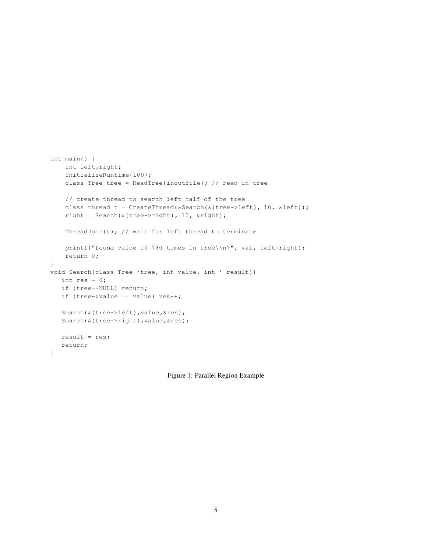```
int main() {
   int left,right;
   InitializeRuntime(100);
   class Tree tree = ReadTree(inoutfile); // read in tree
   // create thread to search left half of the tree
   class thread t = CreateThread(&Search(&(tree->left), 10, &left));
   right = Search(&(tree->right), 10, &right);
   ThreadJoin(t); // wait for left thread to terminate
   printf("found value 10 \%d times in tree\\n\", val, left+right);
   return 0;
}
void Search(class Tree *tree, int value, int * result){
  int res = 0;
  if (tree==NULL) return;
  if (tree->value == value) res++;Search(&(tree->left), value, &res);
   Search(&(tree->right), value, &res);
  result = res;
  return;
}
```
Figure 1: Parallel Region Example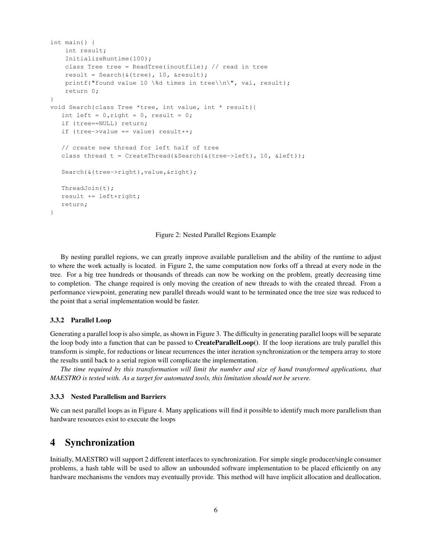```
int main() {
   int result;
   InitializeRuntime(100);
   class Tree tree = ReadTree(inoutfile); // read in tree
   result = Search(\&(tree), 10, &result);
   printf("found value 10 \%d times in tree\\n\", val, result);
   return 0;
}
void Search(class Tree *tree, int value, int * result){
   int left = 0, right = 0, result = 0;
   if (tree==NULL) return;
   if (tree->value == value) result++;
   // create new thread for left half of tree
   class thread t = CreateThread(&Search(&(tree->left), 10, &left));
   Search(&(tree->right),value,&right);
   ThreadJoin(t);
   result += left+right;
   return;
}
```
Figure 2: Nested Parallel Regions Example

By nesting parallel regions, we can greatly improve available parallelism and the ability of the runtime to adjust to where the work actually is located. in Figure 2, the same computation now forks off a thread at every node in the tree. For a big tree hundreds or thousands of threads can now be working on the problem, greatly decreasing time to completion. The change required is only moving the creation of new threads to with the created thread. From a performance viewpoint, generating new parallel threads would want to be terminated once the tree size was reduced to the point that a serial implementation would be faster.

#### **3.3.2 Parallel Loop**

Generating a parallel loop is also simple, as shown in Figure 3. The difficulty in generating parallel loops will be separate the loop body into a function that can be passed to **CreateParallelLoop()**. If the loop iterations are truly parallel this transform is simple, for reductions or linear recurrences the inter iteration synchronization or the tempera array to store the results until back to a serial region will complicate the implementation.

The time required by this transformation will limit the number and size of hand transformed applications, that *MAESTRO is tested with. As a target for automated tools, this limitation should not be severe.*

#### **3.3.3 Nested Parallelism and Barriers**

We can nest parallel loops as in Figure 4. Many applications will find it possible to identify much more parallelism than hardware resources exist to execute the loops

# **4 Synchronization**

Initially, MAESTRO will support 2 different interfaces to synchronization. For simple single producer/single consumer problems, a hash table will be used to allow an unbounded software implementation to be placed efficiently on any hardware mechanisms the vendors may eventually provide. This method will have implicit allocation and deallocation.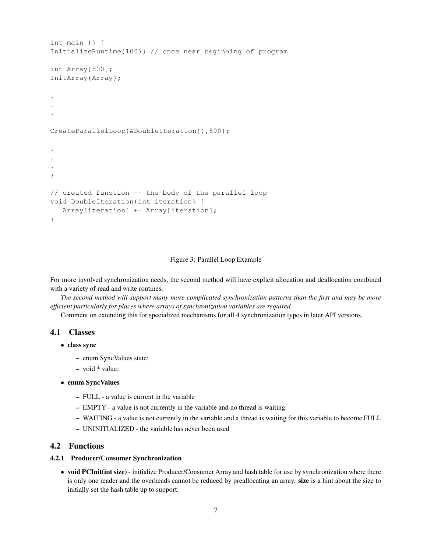```
int main () {
InitializeRuntime(100); // once near beginning of program
int Array[500];
InitArray(Array);
.
.
.
CreateParallelLoop(&DoubleIteration(),500);
.
.
.
}
// created function -- the body of the parallel loop
void DoubleIteration(int iteration) {
   Array[iteration] += Array[iteration];
}
```
#### Figure 3: Parallel Loop Example

For more involved synchronization needs, the second method will have explicit allocation and deallocation combined with a variety of read and write routines.

The second method will support many more complicated synchronization patterns than the first and may be more *efficient particularly for places where arrays of synchronization variables are required.*

Comment on extending this for specialized mechanisms for all 4 synchronization types in later API versions.

#### **4.1 Classes**

- **class sync**
	- **–** enum SyncValues state;
	- **–** void \* value;

#### • **enum SyncValues**

- **–** FULL a value is current in the variable
- **–** EMPTY a value is not currently in the variable and no thread is waiting
- **–** WAITING a value is not currently in the variable and a thread is waiting for this variable to become FULL
- **–** UNINITIALIZED the variable has never been used

#### **4.2 Functions**

#### **4.2.1 Producer/Consumer Synchronization**

• **void PCInit(int size)** - initialize Producer/Consumer Array and hash table for use by synchronization where there is only one reader and the overheads cannot be reduced by preallocating an array. **size** is a hint about the size to initially set the hash table up to support.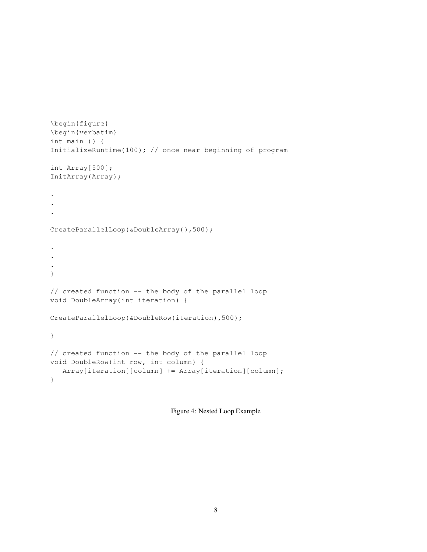```
\begin{figure}
\begin{verbatim}
int main () {
InitializeRuntime(100); // once near beginning of program
int Array[500];
InitArray(Array);
.
.
.
CreateParallelLoop(&DoubleArray(),500);
.
.
.
}
// created function -- the body of the parallel loop
void DoubleArray(int iteration) {
CreateParallelLoop(&DoubleRow(iteration),500);
}
// created function -- the body of the parallel loop
void DoubleRow(int row, int column) {
  Array[iteration][column] += Array[iteration][column];
}
```
Figure 4: Nested Loop Example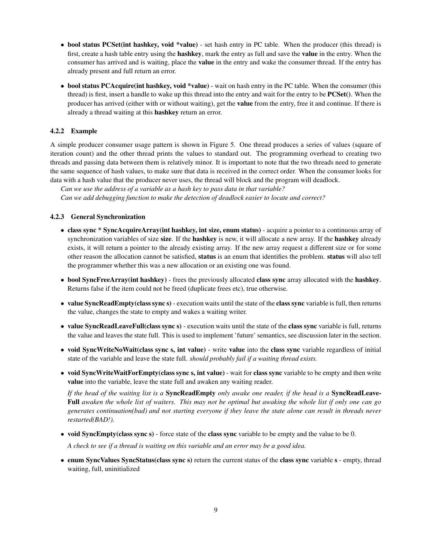- **bool status PCSet(int hashkey, void \*value)** set hash entry in PC table. When the producer (this thread) is first, create a hash table entry using the **hashkey**, mark the entry as full and save the **value** in the entry. When the consumer has arrived and is waiting, place the **value** in the entry and wake the consumer thread. If the entry has already present and full return an error.
- **bool status PCAcquire(int hashkey, void \*value)** wait on hash entry in the PC table. When the consumer (this thread) is first, insert a handle to wake up this thread into the entry and wait for the entry to be **PCSet()**. When the producer has arrived (either with or without waiting), get the **value** from the entry, free it and continue. If there is already a thread waiting at this **hashkey** return an error.

#### **4.2.2 Example**

A simple producer consumer usage pattern is shown in Figure 5. One thread produces a series of values (square of iteration count) and the other thread prints the values to standard out. The programming overhead to creating two threads and passing data between them is relatively minor. It is important to note that the two threads need to generate the same sequence of hash values, to make sure that data is received in the correct order. When the consumer looks for data with a hash value that the producer never uses, the thread will block and the program will deadlock.

*Can we use the address of a variable as a hash key to pass data in that variable?*

*Can we add debugging function to make the detection of deadlock easier to locate and correct?*

#### **4.2.3 General Synchronization**

- **class sync \* SyncAcquireArray(int hashkey, int size, enum status)** acquire a pointer to a continuous array of synchronization variables of size **size**. If the **hashkey** is new, it will allocate a new array. If the **hashkey** already exists, it will return a pointer to the already existing array. If the new array request a different size or for some other reason the allocation cannot be satisfied, **status** is an enum that identifies the problem. **status** will also tell the programmer whether this was a new allocation or an existing one was found.
- **bool SyncFreeArray(int hashkey)** frees the previously allocated **class sync** array allocated with the **hashkey**. Returns false if the item could not be freed (duplicate frees etc), true otherwise.
- **value SyncReadEmpty(class sync s)** execution waits until the state of the **class sync** variable is full, then returns the value, changes the state to empty and wakes a waiting writer.
- **value SyncReadLeaveFull(class sync s)** execution waits until the state of the **class sync** variable is full, returns the value and leaves the state full. This is used to implement 'future' semantics, see discussion later in the section.
- **void SyncWriteNoWait(class sync s, int value)** write **value** into the **class sync** variable regardless of initial state of the variable and leave the state full. *should probably fail if a waiting thread exists.*
- **void SyncWriteWaitForEmpty(class sync s, int value)** wait for **class sync** variable to be empty and then write **value** into the variable, leave the state full and awaken any waiting reader.

If the head of the waiting list is a **SyncReadEmpty** only awake one reader, if the head is a **SyncReadLeave-**Full awaken the whole list of waiters. This may not be optimal but awaking the whole list if only one can go generates continuation(bad) and not starting everyone if they leave the state alone can result in threads never *restarted(BAD!).*

• **void SyncEmpty(class sync s)** - force state of the **class sync** variable to be empty and the value to be 0.

A check to see if a thread is waiting on this variable and an error may be a good idea.

• **enum SyncValues SyncStatus(class sync s)** return the current status of the **class sync** variable **s** - empty, thread waiting, full, uninitialized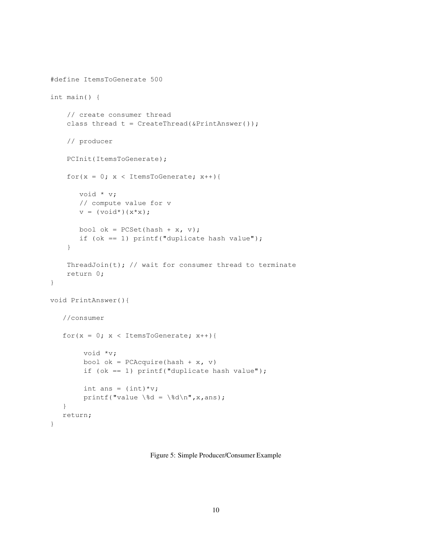```
#define ItemsToGenerate 500
int main() {
    // create consumer thread
    class thread t = CreateThread(&PrintAnswer());
   // producer
   PCInit(ItemsToGenerate);
    for(x = 0; x < ItemsToGenerate; x++){
       void * v;
       // compute value for v
       v = (void*) (x*x);bool ok = PCSet(hash + x, v);if (ok == 1) printf("duplicate hash value");
    }
    ThreadJoin(t); // wait for consumer thread to terminate
    return 0;
}
void PrintAnswer(){
   //consumer
   for(x = 0; x < ItemsToGenerate; x++){
        void *v;
        bool ok = PCAcquire(hash + x, v)
        if (ok == 1) print(" duplicate hash value");
        int ans = (int)*v;printf("value \%d = \%d\n", x, ans);
   }
  return;
}
```
Figure 5: Simple Producer/Consumer Example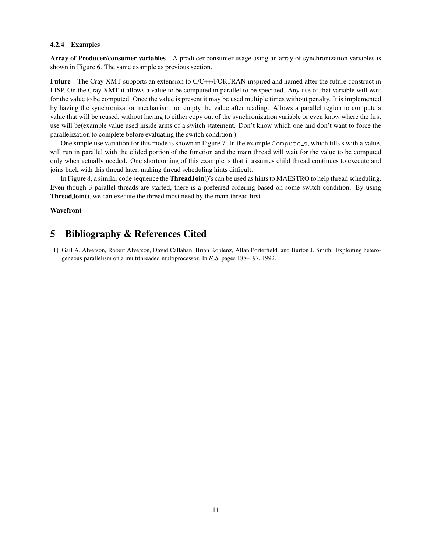#### **4.2.4 Examples**

**Array of Producer/consumer variables** A producer consumer usage using an array of synchronization variables is shown in Figure 6. The same example as previous section.

**Future** The Cray XMT supports an extension to C/C++/FORTRAN inspired and named after the future construct in LISP. On the Cray XMT it allows a value to be computed in parallel to be specified. Any use of that variable will wait for the value to be computed. Once the value is present it may be used multiple times without penalty. It is implemented by having the synchronization mechanism not empty the value after reading. Allows a parallel region to compute a value that will be reused, without having to either copy out of the synchronization variable or even know where the first use will be(example value used inside arms of a switch statement. Don't know which one and don't want to force the parallelization to complete before evaluating the switch condition.)

One simple use variation for this mode is shown in Figure 7. In the example  $Compute$ , which fills s with a value, will run in parallel with the elided portion of the function and the main thread will wait for the value to be computed only when actually needed. One shortcoming of this example is that it assumes child thread continues to execute and joins back with this thread later, making thread scheduling hints difficult.

In Figure 8, a similar code sequence the **ThreadJoin()**'s can be used as hints to MAESTRO to help thread scheduling. Even though 3 parallel threads are started, there is a preferred ordering based on some switch condition. By using **ThreadJoin()**, we can execute the thread most need by the main thread first.

#### **Wavefront**

# **5 Bibliography & References Cited**

[1] Gail A. Alverson, Robert Alverson, David Callahan, Brian Koblenz, Allan Porterfield, and Burton J. Smith. Exploiting heterogeneous parallelism on a multithreaded multiprocessor. In *ICS*, pages 188–197, 1992.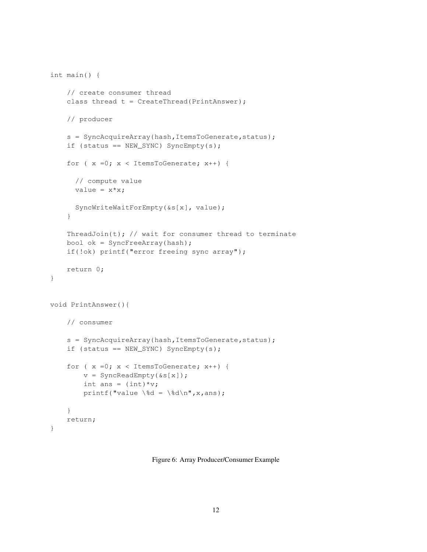```
int main() {
    // create consumer thread
    class thread t = CreateThread(PrintAnswer);
    // producer
    s = SyncAcquireArray(hash,ItemsToGenerate,status);
    if (status == NEW_SYNC) SyncEmpty(s);
    for (x = 0; x < ItemsToGenerate; x++) {
      // compute value
      value = x * x;
      SyncWriteWaitForEmpty(&s[x], value);
    }
    ThreadJoin(t); // wait for consumer thread to terminate
    bool ok = SyncFreeArray(hash);
    if(!ok) printf("error freeing sync array");
   return 0;
}
void PrintAnswer(){
    // consumer
    s = SyncAcquireArray(hash, ItemsToGenerate, status);
    if (status == NEW_SYNC) SyncEmpty(s);
    for (x = 0; x < ItemsToGenerate; x++) {
        v = SyncReadEmpty(&s[x]);
        int ans = (int)*v;printf("value \%d = \%d\n", x, ans);
    }
    return;
}
```
Figure 6: Array Producer/Consumer Example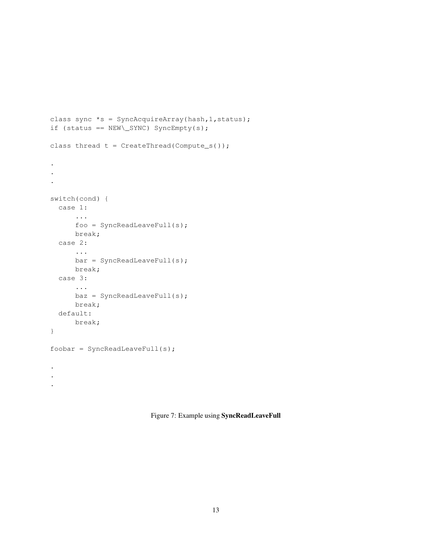```
class sync *_s = SyncAcquireArray(hash, 1, status);
if (status == NEW\_SYNC) SyncEmpty(s);
class thread t = CreateThread(Compute_s());
.
.
.
switch(cond) {
  case 1:
      ...
      foo = SyncReadLeaveFull(s);
     break;
  case 2:
      ...
      bar = SyncReadLeaveFull(s);
      break;
  case 3:
      ...
      \texttt{baz} = \texttt{SyncReadLeaveFull(s)};
      break;
  default:
      break;
}
foobar = SyncReadLeaveFull(s);
.
.
.
```
Figure 7: Example using **SyncReadLeaveFull**